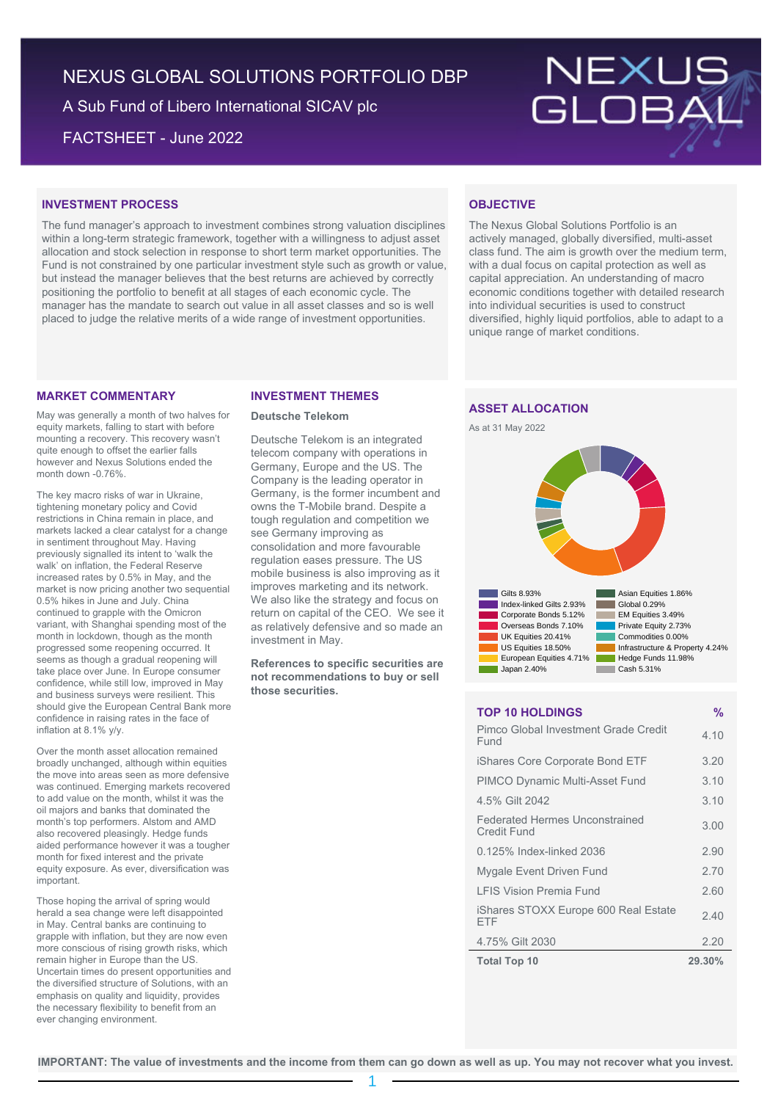# NEXUS GLOBAL SOLUTIONS PORTFOLIO DBP

A Sub Fund of Libero International SICAV plc FACTSHEET - June 2022

# NEXUS<br>GLOBAL

#### **INVESTMENT PROCESS**

The fund manager's approach to investment combines strong valuation disciplines within a long-term strategic framework, together with a willingness to adjust asset allocation and stock selection in response to short term market opportunities. The Fund is not constrained by one particular investment style such as growth or value, but instead the manager believes that the best returns are achieved by correctly positioning the portfolio to benefit at all stages of each economic cycle. The manager has the mandate to search out value in all asset classes and so is well placed to judge the relative merits of a wide range of investment opportunities.

## **OBJECTIVE**

The Nexus Global Solutions Portfolio is an actively managed, globally diversified, multi-asset class fund. The aim is growth over the medium term, with a dual focus on capital protection as well as capital appreciation. An understanding of macro economic conditions together with detailed research into individual securities is used to construct diversified, highly liquid portfolios, able to adapt to a unique range of market conditions.

#### **MARKET COMMENTARY**

May was generally a month of two halves for equity markets, falling to start with before mounting a recovery. This recovery wasn't quite enough to offset the earlier falls however and Nexus Solutions ended the month down -0.76%.

The key macro risks of war in Ukraine, tightening monetary policy and Covid restrictions in China remain in place, and markets lacked a clear catalyst for a change in sentiment throughout May. Having previously signalled its intent to 'walk the walk' on inflation, the Federal Reserve increased rates by 0.5% in May, and the market is now pricing another two sequential 0.5% hikes in June and July. China continued to grapple with the Omicron variant, with Shanghai spending most of the month in lockdown, though as the month progressed some reopening occurred. It seems as though a gradual reopening will take place over June. In Europe consumer confidence, while still low, improved in May and business surveys were resilient. This should give the European Central Bank more confidence in raising rates in the face of inflation at 8.1% y/y.

Over the month asset allocation remained broadly unchanged, although within equities the move into areas seen as more defensive was continued. Emerging markets recovered to add value on the month, whilst it was the oil majors and banks that dominated the month's top performers. Alstom and AMD also recovered pleasingly. Hedge funds aided performance however it was a tougher month for fixed interest and the private equity exposure. As ever, diversification was important.

Those hoping the arrival of spring would herald a sea change were left disappointed in May. Central banks are continuing to grapple with inflation, but they are now even more conscious of rising growth risks, which remain higher in Europe than the US. Uncertain times do present opportunities and the diversified structure of Solutions, with an emphasis on quality and liquidity, provides the necessary flexibility to benefit from an ever changing environment.

#### **INVESTMENT THEMES**

#### **Deutsche Telekom**

Deutsche Telekom is an integrated telecom company with operations in Germany, Europe and the US. The Company is the leading operator in Germany, is the former incumbent and owns the T-Mobile brand. Despite a tough regulation and competition we see Germany improving as consolidation and more favourable regulation eases pressure. The US mobile business is also improving as it improves marketing and its network. We also like the strategy and focus on return on capital of the CEO. We see it as relatively defensive and so made an investment in May.

**References to specific securities are not recommendations to buy or sell those securities.**

### **ASSET ALLOCATION**





#### **TOP 10 HOLDINGS %**

| Pimco Global Investment Grade Credit<br>Fund         | 4.10   |
|------------------------------------------------------|--------|
| iShares Core Corporate Bond ETF                      | 3.20   |
| <b>PIMCO Dynamic Multi-Asset Fund</b>                | 3.10   |
| 4.5% Gilt 2042                                       | 3.10   |
| <b>Federated Hermes Unconstrained</b><br>Credit Fund | 3.00   |
| 0.125% Index-linked 2036                             | 2.90   |
| Mygale Event Driven Fund                             | 2.70   |
| <b>I FIS Vision Premia Fund</b>                      | 2.60   |
| iShares STOXX Europe 600 Real Estate<br>FTF          | 2.40   |
| 4.75% Gilt 2030                                      | 2.20   |
| <b>Total Top 10</b>                                  | 29.30% |